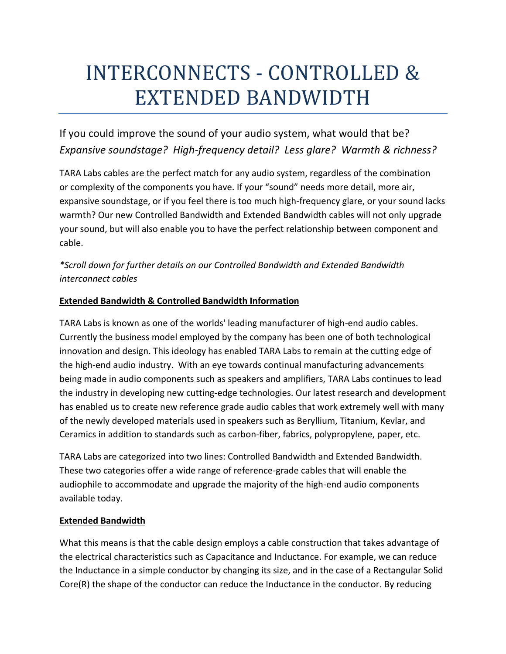# INTERCONNECTS - CONTROLLED & EXTENDED BANDWIDTH

If you could improve the sound of your audio system, what would that be? *Expansive soundstage? High-frequency detail? Less glare? Warmth & richness?*

TARA Labs cables are the perfect match for any audio system, regardless of the combination or complexity of the components you have. If your "sound" needs more detail, more air, expansive soundstage, or if you feel there is too much high-frequency glare, or your sound lacks warmth? Our new Controlled Bandwidth and Extended Bandwidth cables will not only upgrade your sound, but will also enable you to have the perfect relationship between component and cable.

*\*Scroll down for further details on our Controlled Bandwidth and Extended Bandwidth interconnect cables* 

# **Extended Bandwidth & Controlled Bandwidth Information**

TARA Labs is known as one of the worlds' leading manufacturer of high-end audio cables. Currently the business model employed by the company has been one of both technological innovation and design. This ideology has enabled TARA Labs to remain at the cutting edge of the high-end audio industry. With an eye towards continual manufacturing advancements being made in audio components such as speakers and amplifiers, TARA Labs continues to lead the industry in developing new cutting-edge technologies. Our latest research and development has enabled us to create new reference grade audio cables that work extremely well with many of the newly developed materials used in speakers such as Beryllium, Titanium, Kevlar, and Ceramics in addition to standards such as carbon-fiber, fabrics, polypropylene, paper, etc.

TARA Labs are categorized into two lines: Controlled Bandwidth and Extended Bandwidth. These two categories offer a wide range of reference-grade cables that will enable the audiophile to accommodate and upgrade the majority of the high-end audio components available today.

### **Extended Bandwidth**

What this means is that the cable design employs a cable construction that takes advantage of the electrical characteristics such as Capacitance and Inductance. For example, we can reduce the Inductance in a simple conductor by changing its size, and in the case of a Rectangular Solid Core(R) the shape of the conductor can reduce the Inductance in the conductor. By reducing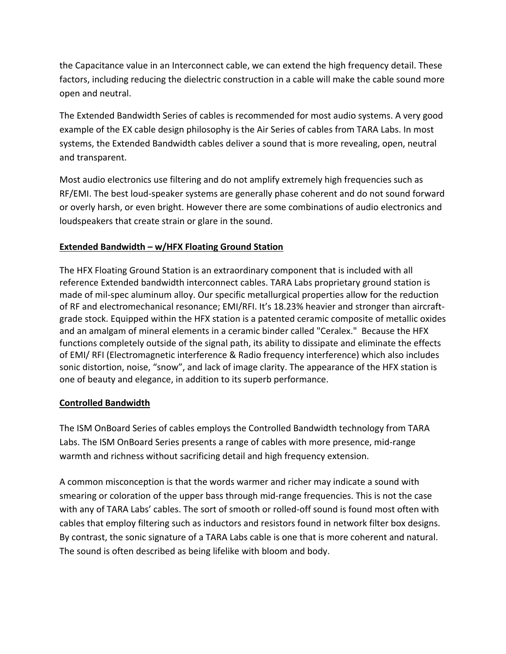the Capacitance value in an Interconnect cable, we can extend the high frequency detail. These factors, including reducing the dielectric construction in a cable will make the cable sound more open and neutral.

The Extended Bandwidth Series of cables is recommended for most audio systems. A very good example of the EX cable design philosophy is the Air Series of cables from TARA Labs. In most systems, the Extended Bandwidth cables deliver a sound that is more revealing, open, neutral and transparent.

Most audio electronics use filtering and do not amplify extremely high frequencies such as RF/EMI. The best loud-speaker systems are generally phase coherent and do not sound forward or overly harsh, or even bright. However there are some combinations of audio electronics and loudspeakers that create strain or glare in the sound.

# **Extended Bandwidth – w/HFX Floating Ground Station**

The HFX Floating Ground Station is an extraordinary component that is included with all reference Extended bandwidth interconnect cables. TARA Labs proprietary ground station is made of mil-spec aluminum alloy. Our specific metallurgical properties allow for the reduction of RF and electromechanical resonance; EMI/RFI. It's 18.23% heavier and stronger than aircraftgrade stock. Equipped within the HFX station is a patented ceramic composite of metallic oxides and an amalgam of mineral elements in a ceramic binder called "Ceralex." Because the HFX functions completely outside of the signal path, its ability to dissipate and eliminate the effects of EMI/ RFI (Electromagnetic interference & Radio frequency interference) which also includes sonic distortion, noise, "snow", and lack of image clarity. The appearance of the HFX station is one of beauty and elegance, in addition to its superb performance.

### **Controlled Bandwidth**

The ISM OnBoard Series of cables employs the Controlled Bandwidth technology from TARA Labs. The ISM OnBoard Series presents a range of cables with more presence, mid-range warmth and richness without sacrificing detail and high frequency extension.

A common misconception is that the words warmer and richer may indicate a sound with smearing or coloration of the upper bass through mid-range frequencies. This is not the case with any of TARA Labs' cables. The sort of smooth or rolled-off sound is found most often with cables that employ filtering such as inductors and resistors found in network filter box designs. By contrast, the sonic signature of a TARA Labs cable is one that is more coherent and natural. The sound is often described as being lifelike with bloom and body.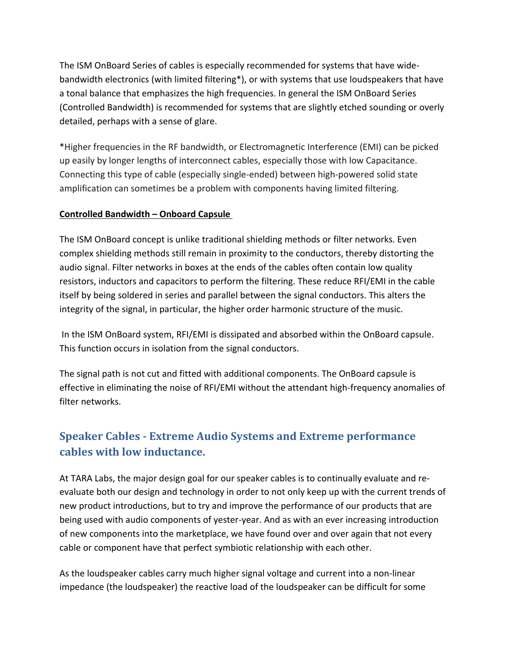The ISM OnBoard Series of cables is especially recommended for systems that have widebandwidth electronics (with limited filtering\*), or with systems that use loudspeakers that have a tonal balance that emphasizes the high frequencies. In general the ISM OnBoard Series (Controlled Bandwidth) is recommended for systems that are slightly etched sounding or overly detailed, perhaps with a sense of glare.

\*Higher frequencies in the RF bandwidth, or Electromagnetic Interference (EMI) can be picked up easily by longer lengths of interconnect cables, especially those with low Capacitance. Connecting this type of cable (especially single-ended) between high-powered solid state amplification can sometimes be a problem with components having limited filtering.

### **Controlled Bandwidth – Onboard Capsule**

The ISM OnBoard concept is unlike traditional shielding methods or filter networks. Even complex shielding methods still remain in proximity to the conductors, thereby distorting the audio signal. Filter networks in boxes at the ends of the cables often contain low quality resistors, inductors and capacitors to perform the filtering. These reduce RFI/EMI in the cable itself by being soldered in series and parallel between the signal conductors. This alters the integrity of the signal, in particular, the higher order harmonic structure of the music.

In the ISM OnBoard system, RFI/EMI is dissipated and absorbed within the OnBoard capsule. This function occurs in isolation from the signal conductors.

The signal path is not cut and fitted with additional components. The OnBoard capsule is effective in eliminating the noise of RFI/EMI without the attendant high-frequency anomalies of filter networks.

# **Speaker Cables - Extreme Audio Systems and Extreme performance cables with low inductance.**

At TARA Labs, the major design goal for our speaker cables is to continually evaluate and reevaluate both our design and technology in order to not only keep up with the current trends of new product introductions, but to try and improve the performance of our products that are being used with audio components of yester-year. And as with an ever increasing introduction of new components into the marketplace, we have found over and over again that not every cable or component have that perfect symbiotic relationship with each other.

As the loudspeaker cables carry much higher signal voltage and current into a non-linear impedance (the loudspeaker) the reactive load of the loudspeaker can be difficult for some